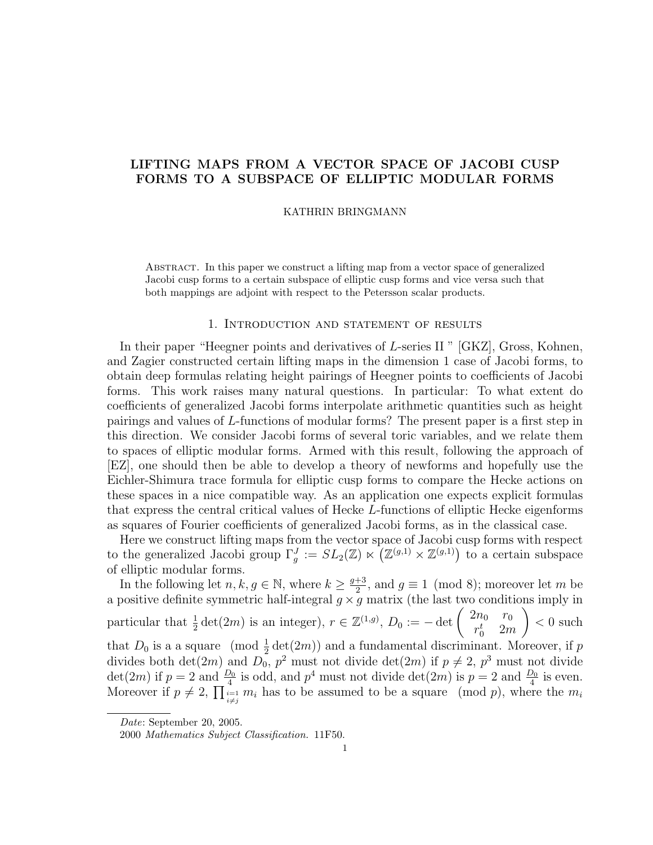# LIFTING MAPS FROM A VECTOR SPACE OF JACOBI CUSP FORMS TO A SUBSPACE OF ELLIPTIC MODULAR FORMS

#### KATHRIN BRINGMANN

Abstract. In this paper we construct a lifting map from a vector space of generalized Jacobi cusp forms to a certain subspace of elliptic cusp forms and vice versa such that both mappings are adjoint with respect to the Petersson scalar products.

## 1. Introduction and statement of results

In their paper "Heegner points and derivatives of L-series II" [GKZ], Gross, Kohnen, and Zagier constructed certain lifting maps in the dimension 1 case of Jacobi forms, to obtain deep formulas relating height pairings of Heegner points to coefficients of Jacobi forms. This work raises many natural questions. In particular: To what extent do coefficients of generalized Jacobi forms interpolate arithmetic quantities such as height pairings and values of L-functions of modular forms? The present paper is a first step in this direction. We consider Jacobi forms of several toric variables, and we relate them to spaces of elliptic modular forms. Armed with this result, following the approach of [EZ], one should then be able to develop a theory of newforms and hopefully use the Eichler-Shimura trace formula for elliptic cusp forms to compare the Hecke actions on these spaces in a nice compatible way. As an application one expects explicit formulas that express the central critical values of Hecke L-functions of elliptic Hecke eigenforms as squares of Fourier coefficients of generalized Jacobi forms, as in the classical case.

Here we construct lifting maps from the vector space of Jacobi cusp forms with respect to the generalized Jacobi group  $\Gamma_g^J := SL_2(\mathbb{Z}) \ltimes \left( \mathbb{Z}^{(g,1)} \times \mathbb{Z}^{(g,1)} \right)$  to a certain subspace of elliptic modular forms.

In the following let  $n, k, g \in \mathbb{N}$ , where  $k \geq \frac{g+3}{2}$  $\frac{+3}{2}$ , and  $g \equiv 1 \pmod{8}$ ; moreover let m be a positive definite symmetric half-integral  $g \times g$  matrix (the last two conditions imply in particular that  $\frac{1}{2} \det(2m)$  is an integer),  $r \in \mathbb{Z}^{(1,g)}$ ,  $D_0 := -\det \begin{pmatrix} 2n_0 & r_0 \\ r_0^t & 2n \end{pmatrix}$  $r_0^t$  2*m*  $\setminus$  $<0\,\,\rm{such}$ that  $D_0$  is a a square (mod  $\frac{1}{2}$  det(2*m*)) and a fundamental discriminant. Moreover, if p divides both  $\det(2m)$  and  $D_0$ ,  $p^2$  must not divide  $\det(2m)$  if  $p \neq 2$ ,  $p^3$  must not divide  $\det(2m)$  if  $p = 2$  and  $\frac{D_0}{4}$  is odd, and  $p^4$  must not divide  $\det(2m)$  is  $p = 2$  and  $\frac{D_0}{4}$  is even. Moreover if  $p \neq 2$ ,  $\prod_{\substack{i=1 \ i \neq j}} m_i$  has to be assumed to be a square (mod p), where the  $m_i$ 

Date: September 20, 2005.

<sup>2000</sup> Mathematics Subject Classification. 11F50.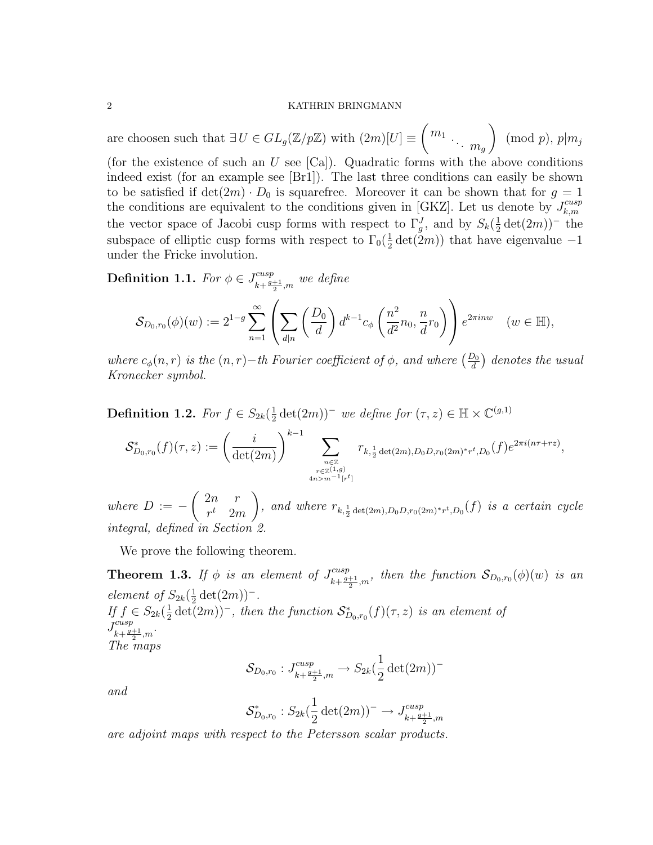are choosen such that  $\exists U \in GL_g(\mathbb{Z}/p\mathbb{Z})$  with  $(2m)[U] \equiv \begin{pmatrix} m_1 & & \\ & \ddots & m_g \end{pmatrix}$  $\setminus$  $\pmod{p}$ ,  $p|m_j$ (for the existence of such an  $U$  see  $|Ca|$ ). Quadratic forms with the above conditions indeed exist (for an example see [Br1]). The last three conditions can easily be shown to be satisfied if  $\det(2m) \cdot D_0$  is squarefree. Moreover it can be shown that for  $g = 1$ the conditions are equivalent to the conditions given in [GKZ]. Let us denote by  $J_{k,m}^{cusp}$  $_{k,m}$ the vector space of Jacobi cusp forms with respect to  $\Gamma_g^J$ , and by  $S_k(\frac{1}{2})$  $\frac{1}{2}\det(2m))^-$  the subspace of elliptic cusp forms with respect to  $\Gamma_0(\frac{1}{2})$  $\frac{1}{2}$  det(2*m*)) that have eigenvalue -1 under the Fricke involution.

**Definition 1.1.** For  $\phi \in J_{i,j}^{cusp}$  $\frac{cusp}{k+\frac{g+1}{2},m}$  we define

$$
\mathcal{S}_{D_0,r_0}(\phi)(w) := 2^{1-g} \sum_{n=1}^{\infty} \left( \sum_{d|n} \left( \frac{D_0}{d} \right) d^{k-1} c_{\phi} \left( \frac{n^2}{d^2} n_0, \frac{n}{d} r_0 \right) \right) e^{2\pi i n w} \quad (w \in \mathbb{H}),
$$

where  $c_{\phi}(n,r)$  is the  $(n,r)-th$  Fourier coefficient of  $\phi$ , and where  $\left(\frac{D_0}{d}\right)$  denotes the usual Kronecker symbol.

Definition 1.2. For  $f \in S_{2k}(\frac{1}{2})$  $\frac{1}{2} \det(2m)$ <sup>-</sup> we define for  $(\tau, z) \in \mathbb{H} \times \mathbb{C}^{(g,1)}$ 

$$
\mathcal{S}_{D_0,r_0}^*(f)(\tau,z) := \left(\frac{i}{\det(2m)}\right)^{k-1} \sum_{\substack{n \in \mathbb{Z} \\ r \in \mathbb{Z}^{(1,g)} \\ 4n > m^{-1}[r^t]}} r_{k,\frac{1}{2}\det(2m), D_0 D, r_0(2m)^* r^t, D_0}(f) e^{2\pi i (n\tau + rz)},
$$

where  $D := \left(2n \right)$  $r^t$  2m  $\setminus$ *n*, and where  $r_{k, \frac{1}{2} \det(2m), D_0 D, r_0(2m)^* r^t, D_0}(f)$  is a certain cycle integral, defined in Section 2.

We prove the following theorem.

**Theorem 1.3.** If  $\phi$  is an element of  $J_{i,j}^{cusp}$  $\lim_{k+\frac{g+1}{2},m}$ , then the function  $\mathcal{S}_{D_0,r_0}(\phi)(w)$  is an element of  $S_{2k}(\frac{1}{2})$  $\frac{1}{2} \det(2m))^{-}$ . If  $f \in S_{2k}(\frac{1}{2})$  $\frac{1}{2}$  det(2m))<sup>−</sup>, then the function  $\mathcal{S}_{D_0,r_0}^*(f)(\tau,z)$  is an element of  $J_{\iota_1}^{cusp}$  $\lim_{k+\frac{g+1}{2},m}$ . The maps

$$
\mathcal{S}_{D_0,r_0}: J^{cusp}_{k+\frac{g+1}{2},m} \to S_{2k}(\frac{1}{2}\det(2m))^-
$$

and

$$
\mathcal{S}_{D_0,r_0}^* : S_{2k}(\frac{1}{2}\det(2m))^- \to J^{cusp}_{k+\frac{g+1}{2},m}
$$

are adjoint maps with respect to the Petersson scalar products.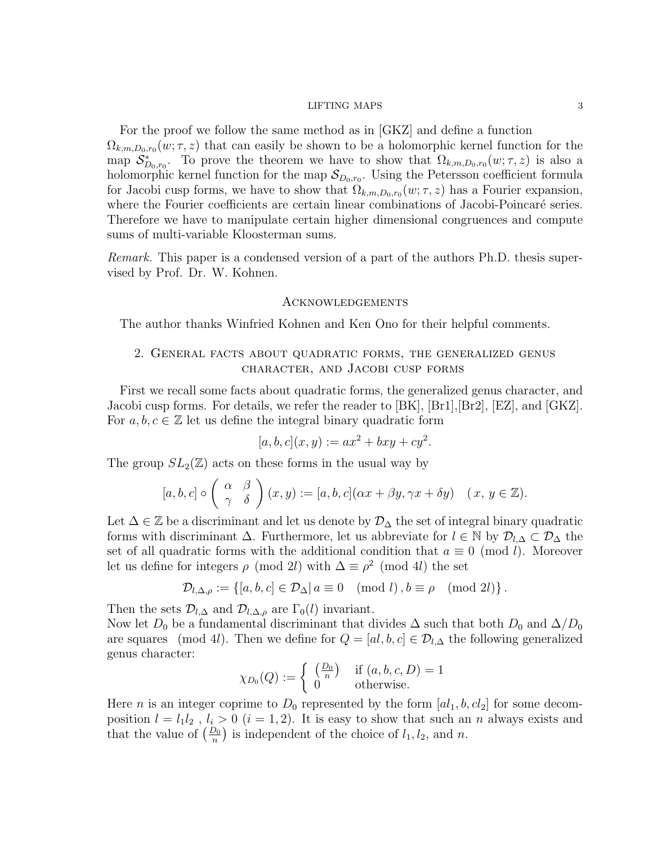For the proof we follow the same method as in [GKZ] and define a function  $\Omega_{k,m,D_0,r_0}(w;\tau,z)$  that can easily be shown to be a holomorphic kernel function for the map  $S_{D_0,r_0}^*$ . To prove the theorem we have to show that  $\Omega_{k,m,D_0,r_0}(w;\tau,z)$  is also a holomorphic kernel function for the map  $\mathcal{S}_{D_0,r_0}$ . Using the Petersson coefficient formula for Jacobi cusp forms, we have to show that  $\Omega_{k,m,D_0,r_0}(w;\tau,z)$  has a Fourier expansion, where the Fourier coefficients are certain linear combinations of Jacobi-Poincaré series. Therefore we have to manipulate certain higher dimensional congruences and compute sums of multi-variable Kloosterman sums.

Remark. This paper is a condensed version of a part of the authors Ph.D. thesis supervised by Prof. Dr. W. Kohnen.

## **ACKNOWLEDGEMENTS**

The author thanks Winfried Kohnen and Ken Ono for their helpful comments.

## 2. General facts about quadratic forms, the generalized genus character, and Jacobi cusp forms

First we recall some facts about quadratic forms, the generalized genus character, and Jacobi cusp forms. For details, we refer the reader to [BK], [Br1],[Br2], [EZ], and [GKZ]. For  $a, b, c \in \mathbb{Z}$  let us define the integral binary quadratic form

$$
[a, b, c](x, y) := ax^2 + bxy + cy^2.
$$

The group  $SL_2(\mathbb{Z})$  acts on these forms in the usual way by

$$
[a, b, c] \circ \left(\begin{array}{cc} \alpha & \beta \\ \gamma & \delta \end{array}\right)(x, y) := [a, b, c](\alpha x + \beta y, \gamma x + \delta y) \quad (x, y \in \mathbb{Z}).
$$

Let  $\Delta \in \mathbb{Z}$  be a discriminant and let us denote by  $\mathcal{D}_{\Delta}$  the set of integral binary quadratic forms with discriminant  $\Delta$ . Furthermore, let us abbreviate for  $l \in \mathbb{N}$  by  $\mathcal{D}_{l,\Delta} \subset \mathcal{D}_{\Delta}$  the set of all quadratic forms with the additional condition that  $a \equiv 0 \pmod{l}$ . Moreover let us define for integers  $\rho \pmod{2l}$  with  $\Delta \equiv \rho^2 \pmod{4l}$  the set

$$
\mathcal{D}_{l,\Delta,\rho} := \{ [a,b,c] \in \mathcal{D}_{\Delta} | a \equiv 0 \pmod{l}, b \equiv \rho \pmod{2l} \}.
$$

Then the sets  $\mathcal{D}_{l,\Delta}$  and  $\mathcal{D}_{l,\Delta,\rho}$  are  $\Gamma_0(l)$  invariant.

Now let  $D_0$  be a fundamental discriminant that divides  $\Delta$  such that both  $D_0$  and  $\Delta/D_0$ are squares (mod 4l). Then we define for  $Q = [al, b, c] \in \mathcal{D}_{l,\Delta}$  the following generalized genus character:

$$
\chi_{D_0}(Q) := \begin{cases} \left(\frac{D_0}{n}\right) & \text{if } (a, b, c, D) = 1\\ 0 & \text{otherwise.} \end{cases}
$$

Here *n* is an integer coprime to  $D_0$  represented by the form  $[a_1, b, c_2]$  for some decomposition  $l = l_1 l_2$ ,  $l_i > 0$   $(i = 1, 2)$ . It is easy to show that such an n always exists and that the value of  $\left(\frac{D_0}{n}\right)$  is independent of the choice of  $l_1, l_2$ , and n.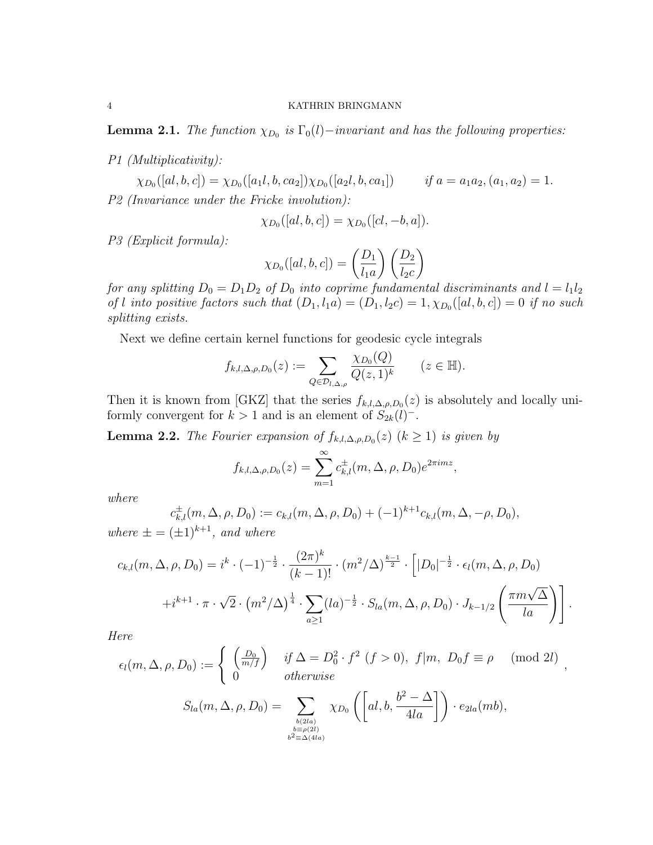**Lemma 2.1.** The function  $\chi_{D_0}$  is  $\Gamma_0(l)$  –invariant and has the following properties:

P1 (Multiplicativity):

 $\chi_{D_0}([al, b, c]) = \chi_{D_0}([a_1l, b, ca_2]) \chi_{D_0}([a_2l, b, ca_1])$  if  $a = a_1a_2, (a_1, a_2) = 1$ . P2 (Invariance under the Fricke involution):

$$
\chi_{D_0}([al, b, c]) = \chi_{D_0}([cl, -b, a]).
$$

P3 (Explicit formula):

$$
\chi_{D_0}([al, b, c]) = \left(\frac{D_1}{l_1 a}\right) \left(\frac{D_2}{l_2 c}\right)
$$

for any splitting  $D_0 = D_1 D_2$  of  $D_0$  into coprime fundamental discriminants and  $l = l_1 l_2$ of l into positive factors such that  $(D_1, l_1a) = (D_1, l_2c) = 1, \chi_{D_0}([al, b, c]) = 0$  if no such splitting exists.

Next we define certain kernel functions for geodesic cycle integrals

$$
f_{k,l,\Delta,\rho,D_0}(z) := \sum_{Q \in \mathcal{D}_{l,\Delta,\rho}} \frac{\chi_{D_0}(Q)}{Q(z,1)^k} \qquad (z \in \mathbb{H}).
$$

Then it is known from [GKZ] that the series  $f_{k,l,\Delta,\rho,D_0}(z)$  is absolutely and locally uniformly convergent for  $k > 1$  and is an element of  $S_{2k}(l)^-$ .

**Lemma 2.2.** The Fourier expansion of  $f_{k,l,\Delta,\rho,D_0}(z)$   $(k \ge 1)$  is given by

$$
f_{k,l,\Delta,\rho,D_0}(z) = \sum_{m=1}^{\infty} c_{k,l}^{\pm}(m,\Delta,\rho,D_0)e^{2\pi imz},
$$

where

$$
c_{k,l}^{\pm}(m,\Delta,\rho,D_0) := c_{k,l}(m,\Delta,\rho,D_0) + (-1)^{k+1}c_{k,l}(m,\Delta,-\rho,D_0),
$$

where  $\pm = (\pm 1)^{k+1}$ , and where

$$
c_{k,l}(m,\Delta,\rho,D_0) = i^k \cdot (-1)^{-\frac{1}{2}} \cdot \frac{(2\pi)^k}{(k-1)!} \cdot (m^2/\Delta)^{\frac{k-1}{2}} \cdot [ |D_0|^{-\frac{1}{2}} \cdot \epsilon_l(m,\Delta,\rho,D_0) + i^{k+1} \cdot \pi \cdot \sqrt{2} \cdot (m^2/\Delta)^{\frac{1}{4}} \cdot \sum_{a \ge 1} (l a)^{-\frac{1}{2}} \cdot S_{la}(m,\Delta,\rho,D_0) \cdot J_{k-1/2} \left( \frac{\pi m \sqrt{\Delta}}{l a} \right) ].
$$

Here

$$
\epsilon_l(m, \Delta, \rho, D_0) := \begin{cases}\n\left(\frac{D_0}{m/f}\right) & \text{if } \Delta = D_0^2 \cdot f^2 \ (f > 0), \ f|m, \ D_0 f \equiv \rho \pmod{2l} \\
0 & \text{otherwise}\n\end{cases}
$$
\n
$$
S_{la}(m, \Delta, \rho, D_0) = \sum_{l, (\Delta, \Delta)} \chi_{D_0}\left(\left[a l, b, \frac{b^2 - \Delta}{4la}\right]\right) \cdot e_{2la}(mb),
$$

$$
a(m, \Delta, \rho, D_0) = \sum_{\substack{b(2la) \\ b \equiv \rho(2l) \\ b^2 \equiv \Delta(4la)}} \chi_{D_0}\left(\left[a l, b, \frac{b^2 - \Delta}{4la}\right]\right) \cdot e_{2la}(m)
$$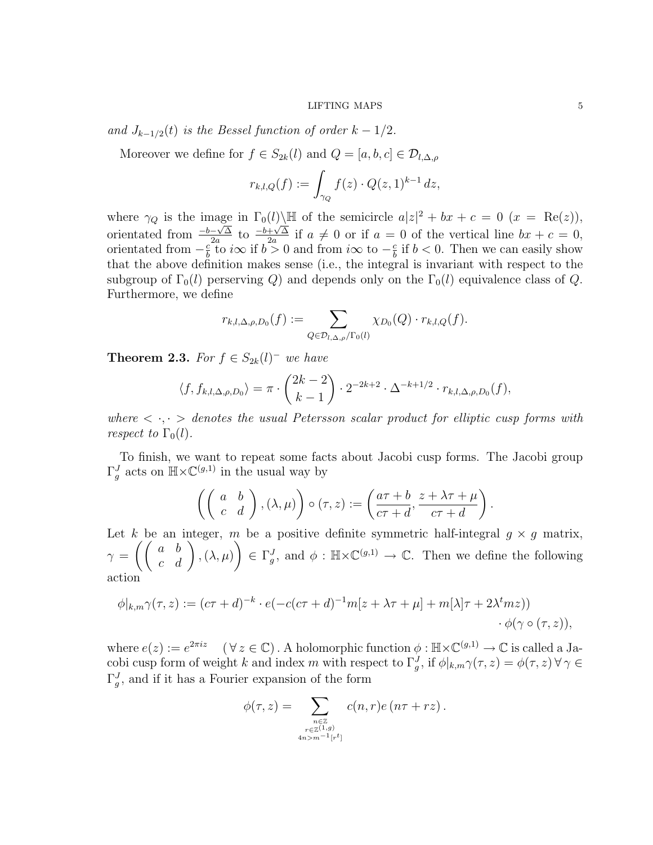### $\rm{LIFTING\;MAPS}\qquad \qquad 5$

and  $J_{k-1/2}(t)$  is the Bessel function of order  $k-1/2$ .

Moreover we define for  $f \in S_{2k}(l)$  and  $Q = [a, b, c] \in \mathcal{D}_{l,\Delta,\rho}$ 

$$
r_{k,l,Q}(f) := \int_{\gamma_Q} f(z) \cdot Q(z,1)^{k-1} dz,
$$

where  $\gamma_Q$  is the image in  $\Gamma_0(l)\backslash\mathbb{H}$  of the semicircle  $a|z|^2 + bx + c = 0$   $(x = \text{Re}(z)),$ orientated from  $\frac{-b-\sqrt{\Delta}}{2a}$  $\frac{-\sqrt{\Delta}}{2a}$  to  $\frac{-b+\sqrt{\Delta}}{2a}$  $\frac{\pm\sqrt{\Delta}}{2a}$  if  $a \neq 0$  or if  $a = 0$  of the vertical line  $bx + c = 0$ , orientated from  $-\frac{c}{b}$  $\frac{c}{b}$  to  $i\infty$  if  $b > 0$  and from  $i\infty$  to  $-\frac{c}{b}$  $\frac{c}{b}$  if  $b < 0$ . Then we can easily show that the above definition makes sense (i.e., the integral is invariant with respect to the subgroup of  $\Gamma_0(l)$  perserving Q) and depends only on the  $\Gamma_0(l)$  equivalence class of Q. Furthermore, we define

$$
r_{k,l,\Delta,\rho,D_0}(f) := \sum_{Q \in \mathcal{D}_{l,\Delta,\rho}/\Gamma_0(l)} \chi_{D_0}(Q) \cdot r_{k,l,Q}(f).
$$

**Theorem 2.3.** For  $f \in S_{2k}(l)^{-1}$  we have

$$
\langle f, f_{k,l,\Delta,\rho,D_0} \rangle = \pi \cdot {2k-2 \choose k-1} \cdot 2^{-2k+2} \cdot \Delta^{-k+1/2} \cdot r_{k,l,\Delta,\rho,D_0}(f),
$$

where  $\langle \cdot, \cdot \rangle$  denotes the usual Petersson scalar product for elliptic cusp forms with respect to  $\Gamma_0(l)$ .

To finish, we want to repeat some facts about Jacobi cusp forms. The Jacobi group  $\Gamma_g^J$  acts on  $\mathbb{H} \times \mathbb{C}^{(g,1)}$  in the usual way by

$$
\left( \left( \begin{array}{cc} a & b \\ c & d \end{array} \right), (\lambda, \mu) \right) \circ (\tau, z) := \left( \frac{a\tau + b}{c\tau + d}, \frac{z + \lambda\tau + \mu}{c\tau + d} \right).
$$

Let k be an integer, m be a positive definite symmetric half-integral  $g \times g$  matrix,  $\gamma\,=\,\left(\left(\begin{array}{cc} a & b \ c & d \end{array}\right),(\lambda,\mu)\right)$  $\setminus$  $\in \Gamma_g^J$ , and  $\phi : \mathbb{H} \times \mathbb{C}^{(g,1)} \to \mathbb{C}$ . Then we define the following action

$$
\phi|_{k,m}\gamma(\tau,z) := (c\tau + d)^{-k} \cdot e(-c(c\tau + d)^{-1}m[z + \lambda\tau + \mu] + m[\lambda]\tau + 2\lambda^t m z))
$$

$$
\phi(\gamma \circ (\tau, z)),
$$

where  $e(z) := e^{2\pi i z}$   $(\forall z \in \mathbb{C})$ . A holomorphic function  $\phi : \mathbb{H} \times \mathbb{C}^{(g,1)} \to \mathbb{C}$  is called a Jacobi cusp form of weight k and index m with respect to  $\Gamma_g^J$ , if  $\phi|_{k,m}\gamma(\tau,z)=\phi(\tau,z)$   $\forall \gamma \in$  $\Gamma_g^J$ , and if it has a Fourier expansion of the form

$$
\phi(\tau, z) = \sum_{\substack{n \in \mathbb{Z} \\ r \in \mathbb{Z}^{(1,g)} \\ 4n > m^{-1}[r^t]}} c(n, r) e(n\tau + rz).
$$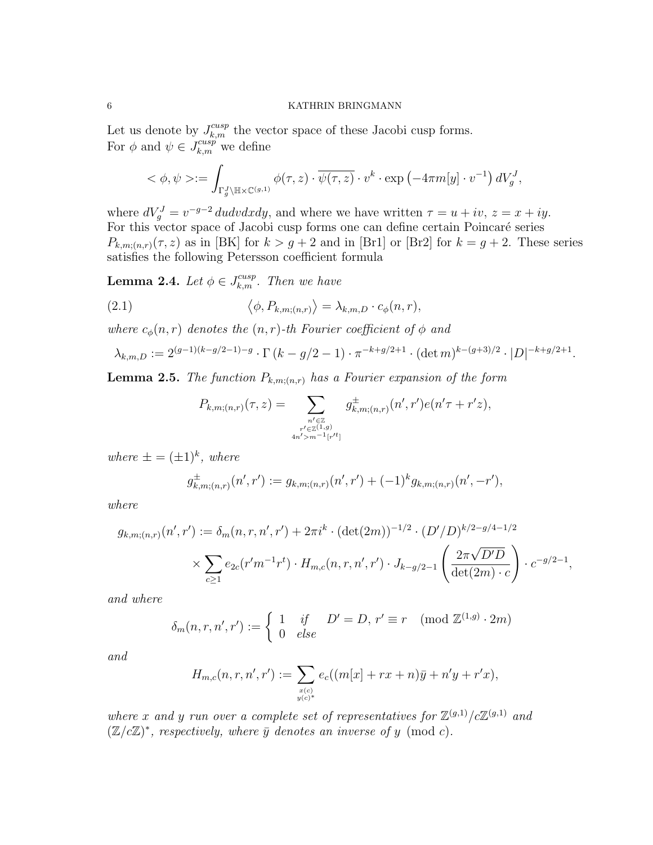Let us denote by  $J_{k,m}^{cusp}$  the vector space of these Jacobi cusp forms. For  $\phi$  and  $\psi \in J_{k,m}^{cusp}$  we define

$$
\langle \phi, \psi \rangle := \int_{\Gamma_g^J \setminus \mathbb{H} \times \mathbb{C}^{(g,1)}} \phi(\tau, z) \cdot \overline{\psi(\tau, z)} \cdot v^k \cdot \exp\left(-4\pi m[y] \cdot v^{-1}\right) dV_g^J,
$$

where  $dV_g^J = v^{-g-2} du dv dx dy$ , and where we have written  $\tau = u + iv$ ,  $z = x + iy$ . For this vector space of Jacobi cusp forms one can define certain Poincaré series  $P_{k,m;(n,r)}(\tau,z)$  as in [BK] for  $k > g+2$  and in [Br1] or [Br2] for  $k = g+2$ . These series satisfies the following Petersson coefficient formula

**Lemma 2.4.** Let  $\phi \in J_{k,m}^{cusp}$ . Then we have

(2.1) 
$$
\langle \phi, P_{k,m;(n,r)} \rangle = \lambda_{k,m,D} \cdot c_{\phi}(n,r),
$$

where  $c_{\phi}(n,r)$  denotes the  $(n,r)$ -th Fourier coefficient of  $\phi$  and

$$
\lambda_{k,m,D} := 2^{(g-1)(k-g/2-1)-g} \cdot \Gamma(k-g/2-1) \cdot \pi^{-k+g/2+1} \cdot (\det m)^{k-(g+3)/2} \cdot |D|^{-k+g/2+1}.
$$

**Lemma 2.5.** The function  $P_{k,m:(n,r)}$  has a Fourier expansion of the form

$$
P_{k,m;(n,r)}(\tau,z) = \sum_{\substack{n' \in \mathbb{Z} \\ r' \in \mathbb{Z}^{(1,g)} \\ 4n' > m^{-1}[r'^t]}} g^{\pm}_{k,m;(n,r)}(n',r')e(n'\tau+r'z),
$$

where  $\pm = (\pm 1)^k$ , where

$$
g_{k,m;(n,r)}^{\pm}(n',r') := g_{k,m;(n,r)}(n',r') + (-1)^k g_{k,m;(n,r)}(n',-r'),
$$

where

$$
g_{k,m;(n,r)}(n',r') := \delta_m(n,r,n',r') + 2\pi i^k \cdot (\det(2m))^{-1/2} \cdot (D'/D)^{k/2-g/4-1/2}
$$

$$
\times \sum_{c \ge 1} e_{2c}(r'm^{-1}r^t) \cdot H_{m,c}(n,r,n',r') \cdot J_{k-g/2-1}\left(\frac{2\pi\sqrt{D'D}}{\det(2m)\cdot c}\right) \cdot c^{-g/2-1},
$$

and where

$$
\delta_m(n, r, n', r') := \begin{cases} 1 & \text{if } D' = D, r' \equiv r \pmod{\mathbb{Z}^{(1,g)} \cdot 2m} \\ 0 & \text{else} \end{cases}
$$

and

$$
H_{m,c}(n,r,n',r'):=\sum_{x(c)\atop y(c)*}e_c((m[x]+rx+n)\bar{y}+n'y+r'x),
$$

where x and y run over a complete set of representatives for  $\mathbb{Z}^{(g,1)}/c\mathbb{Z}^{(g,1)}$  and  $(\mathbb{Z}/c\mathbb{Z})^*$ , respectively, where  $\bar{y}$  denotes an inverse of y (mod c).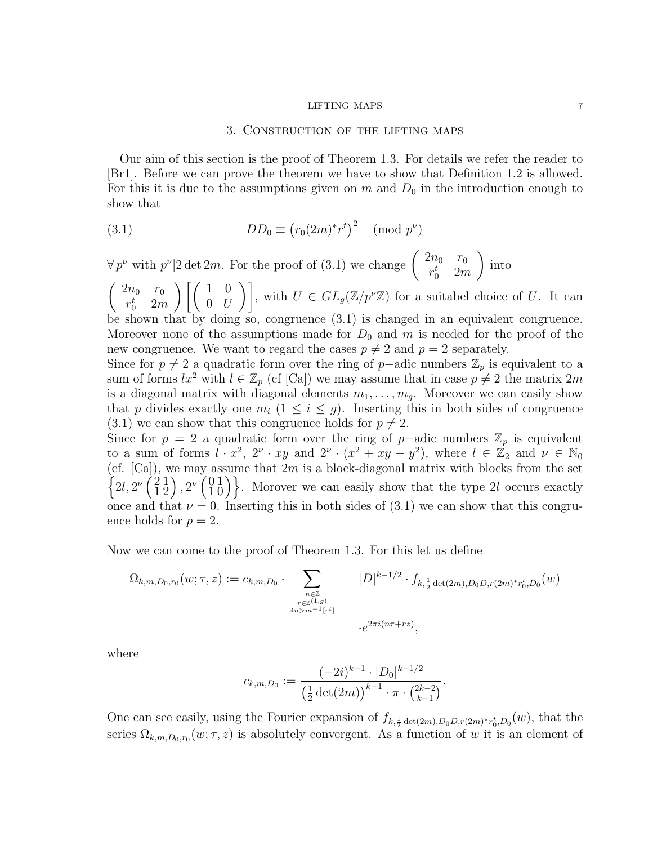### 3. Construction of the lifting maps

Our aim of this section is the proof of Theorem 1.3. For details we refer the reader to [Br1]. Before we can prove the theorem we have to show that Definition 1.2 is allowed. For this it is due to the assumptions given on m and  $D_0$  in the introduction enough to show that

(3.1) 
$$
DD_0 \equiv (r_0(2m)^*r^t)^2 \pmod{p^\nu}
$$

 $\forall p^{\nu}$  with  $p^{\nu}|2 \det 2m$ . For the proof of (3.1) we change  $\begin{pmatrix} 2n_0 & r_0 \\ st & 2n_0 \end{pmatrix}$  $r_0^t$  2*m*  $\setminus$ into

 $\int 2n_0 r_0$  $r_0^t$  2*m*  $\left[\begin{array}{cc} 1 & 0 \end{array}\right]$  $\begin{bmatrix} 1 & 0 \\ 0 & U \end{bmatrix}$ , with  $U \in GL_g(\mathbb{Z}/p^{\nu}\mathbb{Z})$  for a suitabel choice of U. It can be shown that by doing so, congruence (3.1) is changed in an equivalent congruence. Moreover none of the assumptions made for  $D_0$  and m is needed for the proof of the new congruence. We want to regard the cases  $p \neq 2$  and  $p = 2$  separately.

Since for  $p \neq 2$  a quadratic form over the ring of p–adic numbers  $\mathbb{Z}_p$  is equivalent to a sum of forms  $lx^2$  with  $l \in \mathbb{Z}_p$  (cf [Ca]) we may assume that in case  $p \neq 2$  the matrix  $2m$ is a diagonal matrix with diagonal elements  $m_1, \ldots, m_q$ . Moreover we can easily show that p divides exactly one  $m_i$   $(1 \leq i \leq g)$ . Inserting this in both sides of congruence  $(3.1)$  we can show that this congruence holds for  $p \neq 2$ .

Since for  $p = 2$  a quadratic form over the ring of p–adic numbers  $\mathbb{Z}_p$  is equivalent to a sum of forms  $l \cdot x^2$ ,  $2^{\nu} \cdot xy$  and  $2^{\nu} \cdot (x^2 + xy + y^2)$ , where  $l \in \mathbb{Z}_2$  and  $\nu \in \mathbb{N}_0$ (cf.  $[Ca]$ ), we may assume that  $2m$  is a block-diagonal matrix with blocks from the set  $\{2l, 2^{\nu}\left(\frac{2}{1}\right)$ 1  $\frac{1}{2}$ 2  $\Big)$ ,  $2^{\nu} \Big( \begin{smallmatrix} 0 \\ 1 \end{smallmatrix} \Big)$ 1 1  $\begin{pmatrix} 1 \\ 0 \end{pmatrix}$ . Morover we can easily show that the type 2l occurs exactly once and that  $\nu = 0$ . Inserting this in both sides of (3.1) we can show that this congruence holds for  $p = 2$ .

Now we can come to the proof of Theorem 1.3. For this let us define

$$
\Omega_{k,m,D_0,r_0}(w;\tau,z) := c_{k,m,D_0} \cdot \sum_{\substack{n \in \mathbb{Z} \\ r \in \mathbb{Z}^{(1,g)} \\ 4n > m^{-1}[r^t]}} |D|^{k-1/2} \cdot f_{k,\frac{1}{2}\det(2m),D_0D,r(2m)^*r_0^t,D_0}(w)
$$
  

$$
\cdot e^{2\pi i(n\tau + rz)},
$$

where

$$
c_{k,m,D_0} := \frac{(-2i)^{k-1} \cdot |D_0|^{k-1/2}}{\left(\frac{1}{2}\det(2m)\right)^{k-1} \cdot \pi \cdot {2k-2 \choose k-1}}.
$$

One can see easily, using the Fourier expansion of  $f_{k, \frac{1}{2} \det(2m), D_0 D, r(2m) * r_0^t, D_0}(w)$ , that the series  $\Omega_{k,m,D_0,r_0}(w;\tau,z)$  is absolutely convergent. As a function of w it is an element of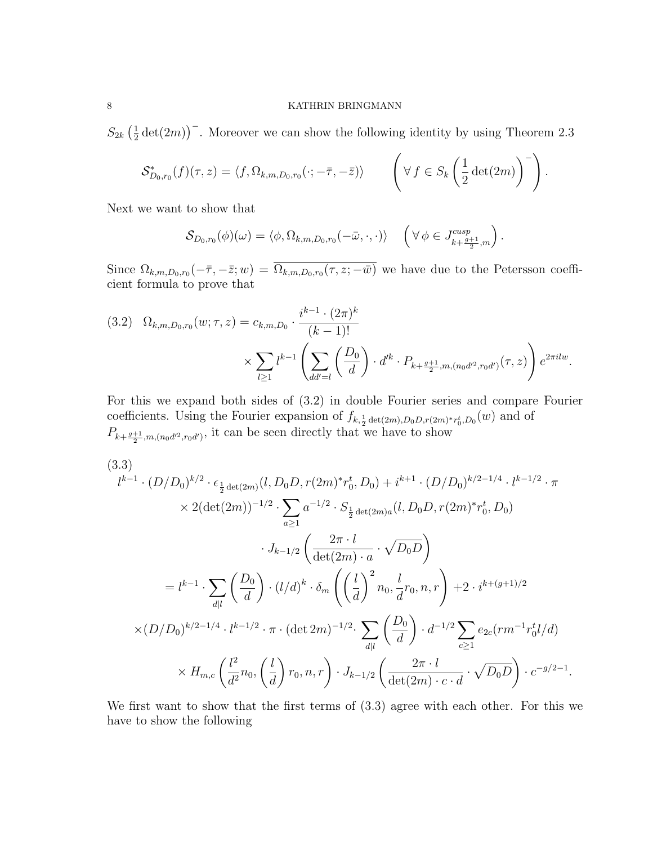$S_{2k}(\frac{1}{2})$  $\frac{1}{2}$  det(2*m*))<sup>-</sup>. Moreover we can show the following identity by using Theorem 2.3

$$
\mathcal{S}_{D_0,r_0}^*(f)(\tau,z) = \langle f, \Omega_{k,m,D_0,r_0}(\cdot; -\bar{\tau}, -\bar{z}) \rangle \qquad \left( \forall f \in S_k \left( \frac{1}{2} \det(2m) \right)^{-} \right).
$$

Next we want to show that

$$
\mathcal{S}_{D_0,r_0}(\phi)(\omega) = \langle \phi, \Omega_{k,m,D_0,r_0}(-\bar{\omega}, \cdot, \cdot) \rangle \quad \left( \forall \phi \in J_{k+\frac{g+1}{2},m}^{cusp} \right).
$$

Since  $\Omega_{k,m,D_0,r_0}(-\bar{\tau},-\bar{z};w) = \Omega_{k,m,D_0,r_0}(\tau,z;-\bar{w})$  we have due to the Petersson coefficient formula to prove that

$$
(3.2) \quad \Omega_{k,m,D_0,r_0}(w;\tau,z) = c_{k,m,D_0} \cdot \frac{i^{k-1} \cdot (2\pi)^k}{(k-1)!} \times \sum_{l \ge 1} l^{k-1} \left( \sum_{dd'=l} \left( \frac{D_0}{d} \right) \cdot d'^k \cdot P_{k+\frac{g+1}{2},m,(n_0d'^2,r_0d') }(\tau,z) \right) e^{2\pi i l w}.
$$

For this we expand both sides of (3.2) in double Fourier series and compare Fourier coefficients. Using the Fourier expansion of  $f_{k, \frac{1}{2} \det(2m), D_0 D, r(2m) * r_0^t, D_0}(w)$  and of  $P_{k+\frac{g+1}{2},m,(n_0d^2,n_0d')},$  it can be seen directly that we have to show

$$
(3.3)
$$
\n
$$
l^{k-1} \cdot (D/D_0)^{k/2} \cdot \epsilon_{\frac{1}{2}\det(2m)}(l, D_0 D, r(2m)^* r_0^t, D_0) + i^{k+1} \cdot (D/D_0)^{k/2-1/4} \cdot l^{k-1/2} \cdot \pi
$$
\n
$$
\times 2(\det(2m))^{-1/2} \cdot \sum_{a \ge 1} a^{-1/2} \cdot S_{\frac{1}{2}\det(2m)a}(l, D_0 D, r(2m)^* r_0^t, D_0)
$$
\n
$$
\cdot J_{k-1/2} \left( \frac{2\pi \cdot l}{\det(2m) \cdot a} \cdot \sqrt{D_0 D} \right)
$$
\n
$$
= l^{k-1} \cdot \sum_{d|l} \left( \frac{D_0}{d} \right) \cdot (l/d)^k \cdot \delta_m \left( \left( \frac{l}{d} \right)^2 n_0, \frac{l}{d} r_0, n, r \right) + 2 \cdot i^{k+(g+1)/2}
$$
\n
$$
\times (D/D_0)^{k/2-1/4} \cdot l^{k-1/2} \cdot \pi \cdot (\det 2m)^{-1/2} \cdot \sum_{d|l} \left( \frac{D_0}{d} \right) \cdot d^{-1/2} \sum_{c \ge 1} e_{2c}(r m^{-1} r_0^t l/d)
$$
\n
$$
\times H_{m,c} \left( \frac{l^2}{d^2} n_0, \left( \frac{l}{d} \right) r_0, n, r \right) \cdot J_{k-1/2} \left( \frac{2\pi \cdot l}{\det(2m) \cdot c \cdot d} \cdot \sqrt{D_0 D} \right) \cdot c^{-g/2-1}.
$$

We first want to show that the first terms of (3.3) agree with each other. For this we have to show the following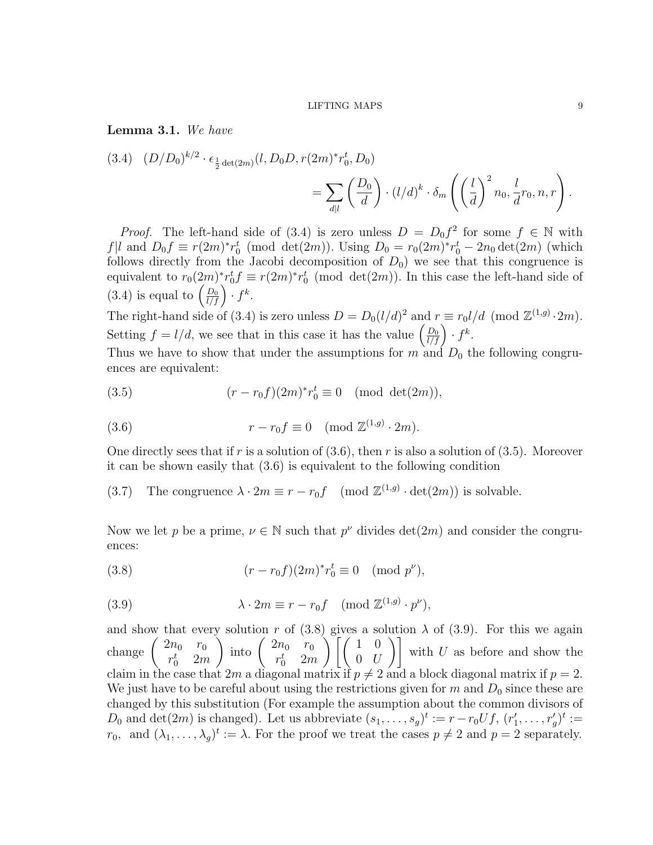Lemma 3.1. We have

$$
(3.4) \quad (D/D_0)^{k/2} \cdot \epsilon_{\frac{1}{2}\det(2m)}(l, D_0 D, r(2m)^* r_0^t, D_0)
$$
  
= 
$$
\sum_{d|l} \left(\frac{D_0}{d}\right) \cdot (l/d)^k \cdot \delta_m \left(\left(\frac{l}{d}\right)^2 n_0, \frac{l}{d} r_0, n, r\right).
$$

*Proof.* The left-hand side of (3.4) is zero unless  $D = D_0 f^2$  for some  $f \in \mathbb{N}$  with  $f|l$  and  $D_0 f \equiv r(2m)^* r_0^t \pmod{\det(2m)}$ . Using  $D_0 = r_0(2m)^* r_0^t - 2n_0 \det(2m)$  (which follows directly from the Jacobi decomposition of  $D_0$ ) we see that this congruence is equivalent to  $r_0(2m)^* r_0^t f \equiv r(2m)^* r_0^t \pmod{\det(2m)}$ . In this case the left-hand side of (3.4) is equal to  $\left(\frac{D_0}{l/f}\right) \cdot f^k$ .

The right-hand side of (3.4) is zero unless  $D = D_0 (l/d)^2$  and  $r \equiv r_0 l/d \pmod{\mathbb{Z}^{(1,g)} \cdot 2m}$ . Setting  $f = l/d$ , we see that in this case it has the value  $\left(\frac{D_0}{l/f}\right) \cdot f^k$ .

Thus we have to show that under the assumptions for  $m$  and  $D_0$  the following congruences are equivalent:

(3.5) 
$$
(r - r_0 f)(2m)^* r_0^t \equiv 0 \pmod{\det(2m)},
$$

(3.6) 
$$
r - r_0 f \equiv 0 \pmod{\mathbb{Z}^{(1,g)} \cdot 2m}.
$$

One directly sees that if r is a solution of  $(3.6)$ , then r is also a solution of  $(3.5)$ . Moreover it can be shown easily that (3.6) is equivalent to the following condition

(3.7) The congruence  $\lambda \cdot 2m \equiv r - r_0 f \pmod{\mathbb{Z}^{(1,g)} \cdot \det(2m)}$  is solvable.

Now we let p be a prime,  $\nu \in \mathbb{N}$  such that  $p^{\nu}$  divides  $\det(2m)$  and consider the congruences:

(3.8) 
$$
(r - r_0 f)(2m)^* r_0^t \equiv 0 \pmod{p^{\nu}},
$$

(3.9) 
$$
\lambda \cdot 2m \equiv r - r_0 f \pmod{\mathbb{Z}^{(1,g)} \cdot p^{\nu}},
$$

and show that every solution r of (3.8) gives a solution  $\lambda$  of (3.9). For this we again change  $\begin{pmatrix} 2n_0 & r_0 \\ -t & 2n_0 \end{pmatrix}$  $r_0^t$  2*m* ) into  $\begin{pmatrix} 2n_0 & r_0 \\ -t & 2n_0 \end{pmatrix}$  $r_0^t$  2*m*  $\left\langle \begin{array}{cc} 1 & 0 \\ 0 & 0 \end{array} \right\rangle$  $\begin{pmatrix} 1 & 0 \\ 0 & U \end{pmatrix}$  with U as before and show the claim in the case that 2m a diagonal matrix if  $p \neq 2$  and a block diagonal matrix if  $p = 2$ . We just have to be careful about using the restrictions given for m and  $D_0$  since these are changed by this substitution (For example the assumption about the common divisors of  $D_0$  and  $\det(2m)$  is changed). Let us abbreviate  $(s_1, \ldots, s_g)^t := r - r_0 U f$ ,  $(r'_1, \ldots, r'_g)^t :=$  $r_0$ , and  $(\lambda_1, \ldots, \lambda_g)^t := \lambda$ . For the proof we treat the cases  $p \neq 2$  and  $p = 2$  separately.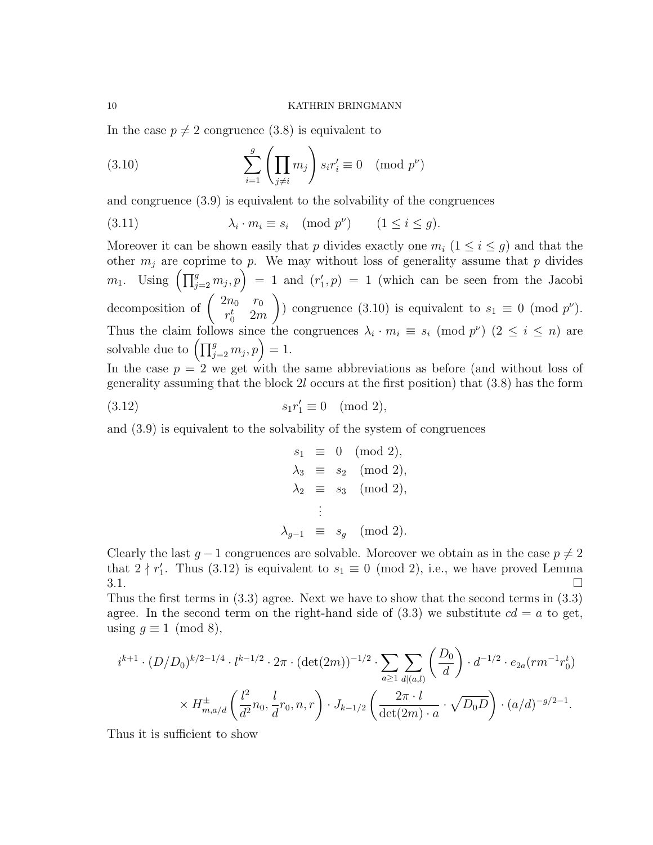In the case  $p \neq 2$  congruence (3.8) is equivalent to

(3.10) 
$$
\sum_{i=1}^{g} \left( \prod_{j \neq i} m_j \right) s_i r'_i \equiv 0 \pmod{p^{\nu}}
$$

and congruence (3.9) is equivalent to the solvability of the congruences

(3.11) 
$$
\lambda_i \cdot m_i \equiv s_i \pmod{p^\nu} \qquad (1 \le i \le g).
$$

Moreover it can be shown easily that p divides exactly one  $m_i$   $(1 \leq i \leq g)$  and that the other  $m_j$  are coprime to p. We may without loss of generality assume that p divides  $m_1$ . Using  $\left(\prod_{j=2}^g m_j, p\right) = 1$  and  $(r'_1, p) = 1$  (which can be seen from the Jacobi decomposition of  $\begin{pmatrix} 2n_0 & r_0 \\ -r & 2n_0 \end{pmatrix}$  $r_0^t$  2*m*  $\setminus$ ) congruence (3.10) is equivalent to  $s_1 \equiv 0 \pmod{p^{\nu}}$ . Thus the claim follows since the congruences  $\lambda_i \cdot m_i \equiv s_i \pmod{p^\nu}$   $(2 \leq i \leq n)$  are solvable due to  $\left(\prod_{j=2}^g m_j, p\right) = 1$ .

In the case  $p = 2$  we get with the same abbreviations as before (and without loss of generality assuming that the block 2l occurs at the first position) that (3.8) has the form

$$
(3.12) \t\t s_1 r'_1 \equiv 0 \pmod{2},
$$

and (3.9) is equivalent to the solvability of the system of congruences

$$
s_1 \equiv 0 \pmod{2},
$$
  
\n
$$
\lambda_3 \equiv s_2 \pmod{2},
$$
  
\n
$$
\lambda_2 \equiv s_3 \pmod{2},
$$
  
\n
$$
\vdots
$$
  
\n
$$
\lambda_{g-1} \equiv s_g \pmod{2}.
$$

Clearly the last  $g - 1$  congruences are solvable. Moreover we obtain as in the case  $p \neq 2$ that  $2 \nmid r'_1$ . Thus (3.12) is equivalent to  $s_1 \equiv 0 \pmod{2}$ , i.e., we have proved Lemma  $3.1.$ 

Thus the first terms in (3.3) agree. Next we have to show that the second terms in (3.3) agree. In the second term on the right-hand side of  $(3.3)$  we substitute  $cd = a$  to get, using  $q \equiv 1 \pmod{8}$ ,

$$
i^{k+1} \cdot (D/D_0)^{k/2 - 1/4} \cdot l^{k-1/2} \cdot 2\pi \cdot (\det(2m))^{-1/2} \cdot \sum_{a \ge 1} \sum_{d|(a,l)} \left(\frac{D_0}{d}\right) \cdot d^{-1/2} \cdot e_{2a}(rm^{-1}r_0^t)
$$

$$
\times H_{m,a/d}^{\pm} \left(\frac{l^2}{d^2}n_0, \frac{l}{d}r_0, n, r\right) \cdot J_{k-1/2} \left(\frac{2\pi \cdot l}{\det(2m) \cdot a} \cdot \sqrt{D_0 D}\right) \cdot (a/d)^{-g/2-1}.
$$

Thus it is sufficient to show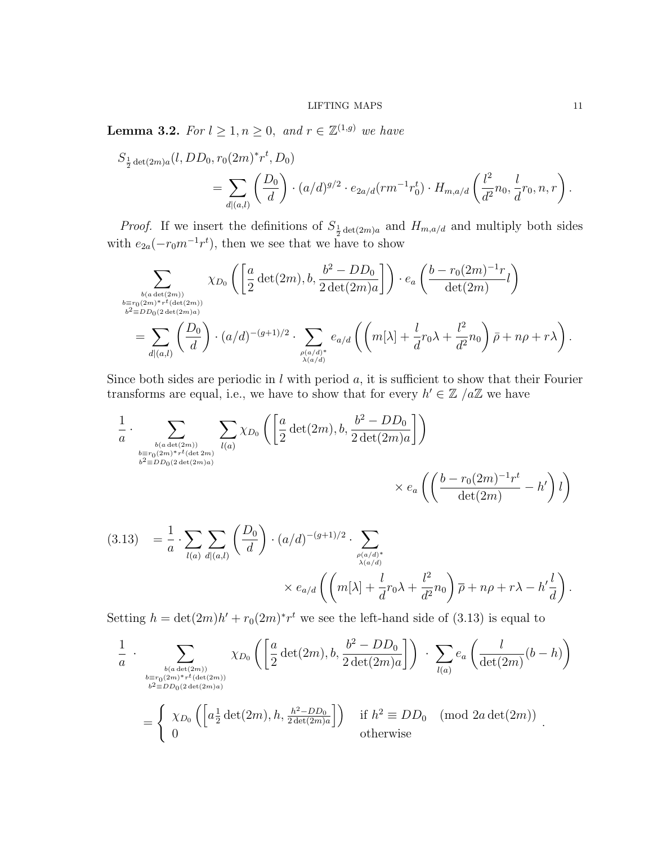**Lemma 3.2.** For  $l \geq 1, n \geq 0$ , and  $r \in \mathbb{Z}^{(1,g)}$  we have

$$
S_{\frac{1}{2}\det(2m)a}(l,DD_0,r_0(2m)^*r^t,D_0)
$$
  
= 
$$
\sum_{d|(a,l)} \left(\frac{D_0}{d}\right) \cdot (a/d)^{g/2} \cdot e_{2a/d}(rm^{-1}r_0^t) \cdot H_{m,a/d}\left(\frac{l^2}{d^2}n_0, \frac{l}{d}r_0, n, r\right).
$$

*Proof.* If we insert the definitions of  $S_{\frac{1}{2}det(2m)a}$  and  $H_{m,a/d}$  and multiply both sides with  $e_{2a}(-r_0m^{-1}r^t)$ , then we see that we have to show

$$
\sum_{\substack{b \equiv r_0(2m)^*r^t(\det(2m))\\b^2 \equiv DD_0(2\det(2m)a)}} \chi_{D_0}\left(\left[\frac{a}{2}\det(2m), b, \frac{b^2 - DD_0}{2\det(2m)a}\right]\right) \cdot e_a\left(\frac{b - r_0(2m)^{-1}r}{\det(2m)}l\right)
$$
\n
$$
= \sum_{d|(a,l)} \left(\frac{D_0}{d}\right) \cdot (a/d)^{-(g+1)/2} \cdot \sum_{\substack{\rho(a/d)^*\\ \lambda(a/d)}} e_{a/d} \left(\left(m[\lambda] + \frac{l}{d}r_0\lambda + \frac{l^2}{d^2}n_0\right)\bar{\rho} + n\rho + r\lambda\right).
$$

Since both sides are periodic in  $l$  with period  $a$ , it is sufficient to show that their Fourier transforms are equal, i.e., we have to show that for every  $h' \in \mathbb{Z}/a\mathbb{Z}$  we have

$$
\frac{1}{a} \cdot \sum_{\substack{b(a\det(2m))\\b \equiv r_0(2m)^*r^t(\det(2m))\\b^2 \equiv DD_0(2\det(2m)a)}} \sum_{l(a)} \chi_{D_0}\left(\left[\frac{a}{2}\det(2m), b, \frac{b^2 - DD_0}{2\det(2m)a}\right]\right)
$$

$$
\times e_a\left(\left(\frac{b - r_0(2m)^{-1}r^t}{\det(2m)} - h'\right)l\right)
$$

$$
(3.13) = \frac{1}{a} \cdot \sum_{l(a)} \sum_{d|(a,l)} \left(\frac{D_0}{d}\right) \cdot (a/d)^{-(g+1)/2} \cdot \sum_{\substack{\rho(a/d)^* \\ \lambda(a/d)}} \times e_{a/d} \left( \left(m[\lambda] + \frac{l}{d} r_0 \lambda + \frac{l^2}{d^2} n_0\right) \overline{\rho} + n\rho + r\lambda - h' \frac{l}{d} \right).
$$

Setting  $h = \det(2m)h' + r_0(2m)^*r^t$  we see the left-hand side of (3.13) is equal to

$$
\frac{1}{a} \cdot \sum_{\substack{b \equiv r_0(2m)^*r^t(\det(2m))\\b^2 \equiv DD_0(2\det(2m))\\b^2 \equiv DD_0(2\det(2m))}} \chi_{D_0}\left(\left[\frac{a}{2}\det(2m), b, \frac{b^2 - DD_0}{2\det(2m)a}\right]\right) \cdot \sum_{l(a)} e_a\left(\frac{l}{\det(2m)}(b-h)\right)
$$
\n
$$
= \begin{cases} \chi_{D_0}\left(\left[a\frac{1}{2}\det(2m), h, \frac{h^2 - DD_0}{2\det(2m)a}\right]\right) & \text{if } h^2 \equiv DD_0 \pmod{2a \det(2m)}\\ 0 & \text{otherwise} \end{cases}
$$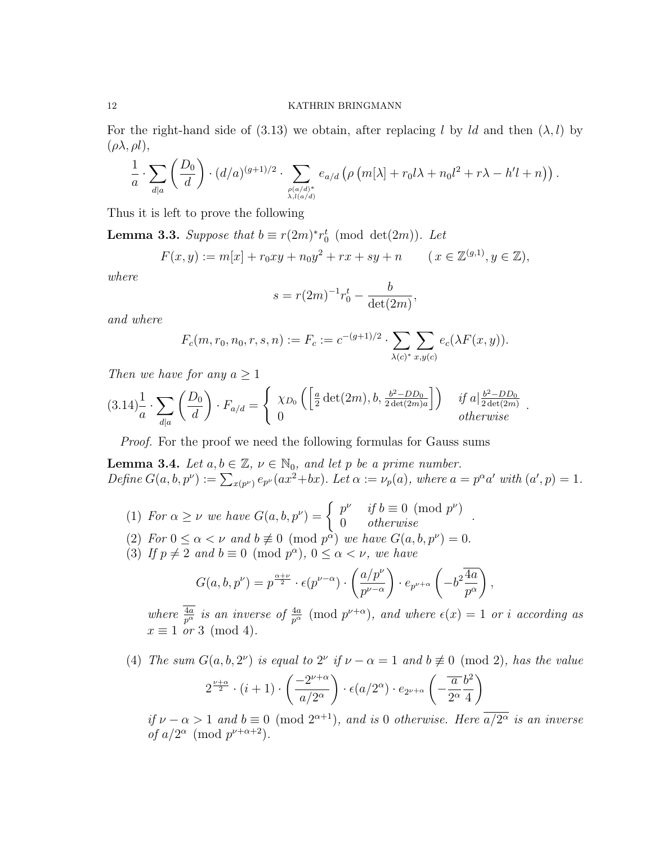For the right-hand side of (3.13) we obtain, after replacing l by ld and then  $(\lambda, l)$  by  $(\rho \lambda, \rho l),$ 

$$
\frac{1}{a} \cdot \sum_{d|a} \left( \frac{D_0}{d} \right) \cdot (d/a)^{(g+1)/2} \cdot \sum_{\rho(a/d)^* \atop \lambda, l(a/d)} e_{a/d} \left( \rho \left( m[\lambda] + r_0 l \lambda + n_0 l^2 + r \lambda - h'l + n \right) \right).
$$

Thus it is left to prove the following

**Lemma 3.3.** Suppose that  $b \equiv r(2m)^* r_0^t \pmod{\det(2m)}$ . Let

$$
F(x, y) := m[x] + r_0 xy + n_0 y^2 + rx + sy + n \qquad (x \in \mathbb{Z}^{(g, 1)}, y \in \mathbb{Z}),
$$

where

$$
s = r(2m)^{-1}r_0^t - \frac{b}{\det(2m)},
$$

and where

$$
F_c(m,r_0,n_0,r,s,n) := F_c := c^{-(g+1)/2} \cdot \sum_{\lambda(c)^*} \sum_{x,y(c)} e_c(\lambda F(x,y)).
$$

Then we have for any  $a \geq 1$ 

$$
(3.14)^{\frac{1}{a}} \cdot \sum_{d|a} \left(\frac{D_0}{d}\right) \cdot F_{a/d} = \begin{cases} \chi_{D_0} \left(\left[\frac{a}{2} \det(2m), b, \frac{b^2 - DD_0}{2 \det(2m)a}\right]\right) & \text{if } a|\frac{b^2 - DD_0}{2 \det(2m)} \\ 0 & \text{otherwise} \end{cases}.
$$

Proof. For the proof we need the following formulas for Gauss sums

**Lemma 3.4.** Let  $a, b \in \mathbb{Z}$ ,  $\nu \in \mathbb{N}_0$ , and let p be a prime number. Define  $G(a, b, p^{\nu}) := \sum_{x(p^{\nu})} e_{p^{\nu}}(ax^2+bx)$ . Let  $\alpha := \nu_p(a)$ , where  $a = p^{\alpha}a'$  with  $(a', p) = 1$ .

- (1) For  $\alpha \geq \nu$  we have  $G(a, b, p^{\nu}) = \begin{cases} p^{\nu} & \text{if } b \equiv 0 \pmod{p^{\nu}} \\ 0 & \text{otherwise} \end{cases}$ .
- (2) For  $0 \leq \alpha < \nu$  and  $b \not\equiv 0 \pmod{p^{\alpha}}$  we have  $G(a, b, p^{\nu}) = 0$ .
- (3) If  $p \neq 2$  and  $b \equiv 0 \pmod{p^{\alpha}}$ ,  $0 \leq \alpha < \nu$ , we have

$$
G(a, b, p^{\nu}) = p^{\frac{\alpha + \nu}{2}} \cdot \epsilon(p^{\nu - \alpha}) \cdot \left(\frac{a/p^{\nu}}{p^{\nu - \alpha}}\right) \cdot e_{p^{\nu + \alpha}} \left(-b^2 \frac{\overline{4a}}{p^{\alpha}}\right),
$$

where  $\frac{4a}{p^{\alpha}}$  is an inverse of  $\frac{4a}{p^{\alpha}} \pmod{p^{\nu+\alpha}}$ , and where  $\epsilon(x) = 1$  or i according as  $x \equiv 1$  or 3 (mod 4).

(4) The sum  $G(a, b, 2^{\nu})$  is equal to  $2^{\nu}$  if  $\nu - \alpha = 1$  and  $b \not\equiv 0 \pmod{2}$ , has the value  $2^{\frac{\nu+\alpha}{2}}\cdot (i+1)\cdot$  $\sqrt{-2^{\nu+\alpha}}$  $a/2^{\alpha}$  $\setminus$  $\cdot \frac{\epsilon(a/2^{\alpha}) \cdot e_{2^{\nu+\alpha}}}{\epsilon}$  $-\frac{\overline{a}}{\alpha}$  $2^{\alpha}$  $b^2$ 4  $\setminus$ 

if  $\nu - \alpha > 1$  and  $b \equiv 0 \pmod{2^{\alpha+1}}$ , and is 0 otherwise. Here  $\overline{a/2^{\alpha}}$  is an inverse of  $a/2^{\alpha} \pmod{p^{\nu+\alpha+2}}$ .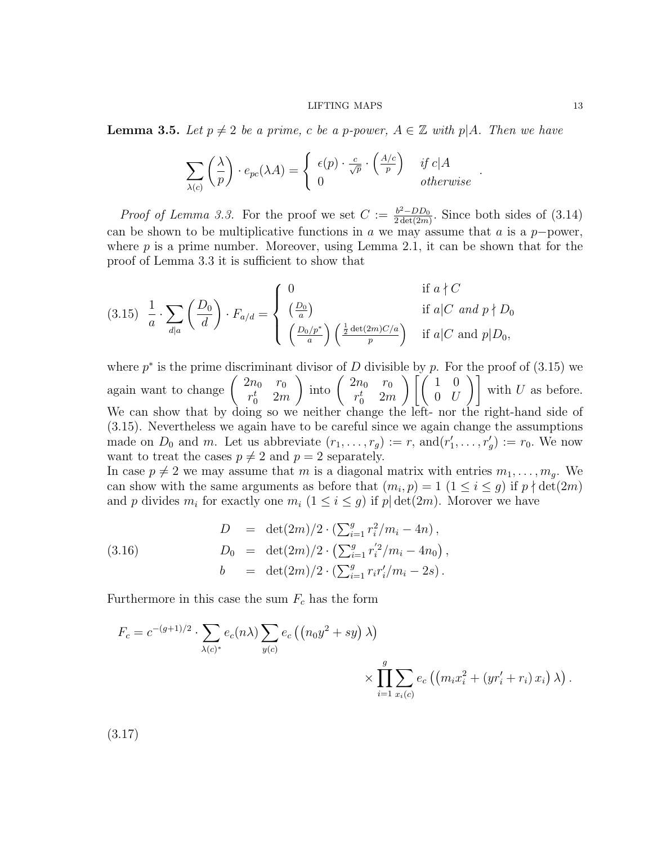**Lemma 3.5.** Let  $p \neq 2$  be a prime, c be a p-power,  $A \in \mathbb{Z}$  with p|A. Then we have

$$
\sum_{\lambda(c)} \left(\frac{\lambda}{p}\right) \cdot e_{pc}(\lambda A) = \begin{cases} \epsilon(p) \cdot \frac{c}{\sqrt{p}} \cdot \left(\frac{A/c}{p}\right) & \text{if } c | A \\ 0 & \text{otherwise} \end{cases}
$$

*Proof of Lemma 3.3.* For the proof we set  $C := \frac{b^2 - DD_0}{2 det(2m)}$  $\frac{b^2-D_{00}}{2\det(2m)}$ . Since both sides of  $(3.14)$ can be shown to be multiplicative functions in a we may assume that a is a  $p$ -power, where  $p$  is a prime number. Moreover, using Lemma 2.1, it can be shown that for the proof of Lemma 3.3 it is sufficient to show that

$$
(3.15) \frac{1}{a} \cdot \sum_{d|a} \left(\frac{D_0}{d}\right) \cdot F_{a/d} = \begin{cases} 0 & \text{if } a \nmid C \\ \left(\frac{D_0}{a}\right) & \text{if } a|C \text{ and } p \nmid D_0 \\ \left(\frac{D_0/p^*}{a}\right) \left(\frac{\frac{1}{2}\det(2m)C/a}{p}\right) & \text{if } a|C \text{ and } p|D_0, \end{cases}
$$

where  $p^*$  is the prime discriminant divisor of D divisible by p. For the proof of  $(3.15)$  we again want to change  $2n_0$   $r_0$  $r_0^t$  2*m* ) into  $\begin{pmatrix} 2n_0 & r_0 \\ r^t & 2n \end{pmatrix}$  $r_0^t$  2*m*  $\left[\begin{array}{cc} 1 & 0 \end{array}\right]$  $\begin{bmatrix} 1 & 0 \\ 0 & U \end{bmatrix}$  with U as before. We can show that by doing so we neither change the left- nor the right-hand side of (3.15). Nevertheless we again have to be careful since we again change the assumptions made on  $D_0$  and m. Let us abbreviate  $(r_1, \ldots, r_g) := r$ , and  $(r'_1, \ldots, r'_g) := r_0$ . We now want to treat the cases  $p \neq 2$  and  $p = 2$  separately.

In case  $p \neq 2$  we may assume that m is a diagonal matrix with entries  $m_1, \ldots, m_q$ . We can show with the same arguments as before that  $(m_i, p) = 1$   $(1 \leq i \leq g)$  if  $p \nmid \det(2m)$ and p divides  $m_i$  for exactly one  $m_i$   $(1 \leq i \leq g)$  if  $p | \det(2m)$ . Morover we have

(3.16) 
$$
D = \det(2m)/2 \cdot (\sum_{i=1}^{g} r_i^2/m_i - 4n),
$$

$$
D_0 = \det(2m)/2 \cdot (\sum_{i=1}^{g} r_i'^2/m_i - 4n_0),
$$

$$
b = \det(2m)/2 \cdot (\sum_{i=1}^{g} r_i r_i'/m_i - 2s).
$$

Furthermore in this case the sum  $F_c$  has the form

$$
F_c = c^{-(g+1)/2} \cdot \sum_{\lambda(c)^*} e_c(n\lambda) \sum_{y(c)} e_c ((n_0 y^2 + sy) \lambda)
$$
  
\$\times \prod\_{i=1}^g \sum\_{x\_i(c)} e\_c ((m\_i x\_i^2 + (yr'\_i + r\_i) x\_i) \lambda)\$.

(3.17)

.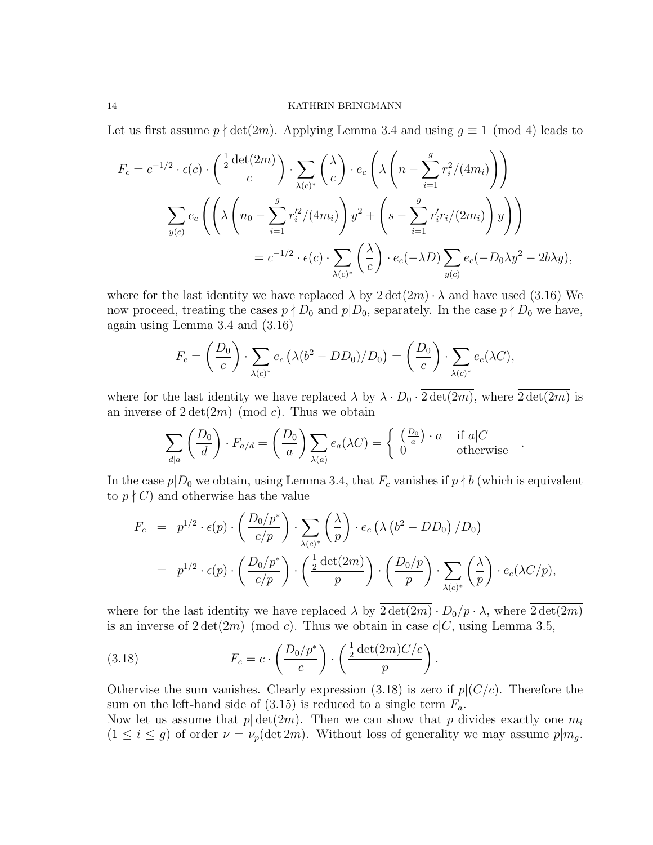Let us first assume  $p \nmid \det(2m)$ . Applying Lemma 3.4 and using  $q \equiv 1 \pmod{4}$  leads to

$$
F_c = c^{-1/2} \cdot \epsilon(c) \cdot \left(\frac{\frac{1}{2}\det(2m)}{c}\right) \cdot \sum_{\lambda(c)^*} \left(\frac{\lambda}{c}\right) \cdot e_c \left(\lambda \left(n - \sum_{i=1}^g r_i^2/(4m_i)\right)\right)
$$

$$
\sum_{y(c)} e_c \left(\left(\lambda \left(n_0 - \sum_{i=1}^g r_i'^2/(4m_i)\right)y^2 + \left(s - \sum_{i=1}^g r_i' r_i/(2m_i)\right)y\right)\right)
$$

$$
= c^{-1/2} \cdot \epsilon(c) \cdot \sum_{\lambda(c)^*} \left(\frac{\lambda}{c}\right) \cdot e_c(-\lambda D) \sum_{y(c)} e_c(-D_0\lambda y^2 - 2b\lambda y),
$$

where for the last identity we have replaced  $\lambda$  by  $2 \det(2m) \cdot \lambda$  and have used (3.16) We now proceed, treating the cases  $p \nmid D_0$  and  $p \mid D_0$ , separately. In the case  $p \nmid D_0$  we have, again using Lemma 3.4 and (3.16)

$$
F_c = \left(\frac{D_0}{c}\right) \cdot \sum_{\lambda(c)^*} e_c \left(\lambda (b^2 - DD_0)/D_0\right) = \left(\frac{D_0}{c}\right) \cdot \sum_{\lambda(c)^*} e_c (\lambda C),
$$

where for the last identity we have replaced  $\lambda$  by  $\lambda \cdot D_0 \cdot \overline{2 \det(2m)}$ , where  $\overline{2 \det(2m)}$  is an inverse of  $2 \det(2m) \pmod{c}$ . Thus we obtain

$$
\sum_{d|a} \left(\frac{D_0}{d}\right) \cdot F_{a/d} = \left(\frac{D_0}{a}\right) \sum_{\lambda(a)} e_a(\lambda C) = \begin{cases} \left(\frac{D_0}{a}\right) \cdot a & \text{if } a|C \\ 0 & \text{otherwise} \end{cases}
$$

In the case  $p|_{D_0}$  we obtain, using Lemma 3.4, that  $F_c$  vanishes if  $p \nmid b$  (which is equivalent to  $p \nmid C$  and otherwise has the value

$$
F_c = p^{1/2} \cdot \epsilon(p) \cdot \left(\frac{D_0/p^*}{c/p}\right) \cdot \sum_{\lambda(c)^*} \left(\frac{\lambda}{p}\right) \cdot e_c \left(\lambda \left(b^2 - DD_0\right) / D_0\right)
$$
  
=  $p^{1/2} \cdot \epsilon(p) \cdot \left(\frac{D_0/p^*}{c/p}\right) \cdot \left(\frac{\frac{1}{2} \det(2m)}{p}\right) \cdot \left(\frac{D_0/p}{p}\right) \cdot \sum_{\lambda(c)^*} \left(\frac{\lambda}{p}\right) \cdot e_c(\lambda C/p),$ 

where for the last identity we have replaced  $\lambda$  by  $\overline{2 \det(2m)} \cdot D_0/p \cdot \lambda$ , where  $\overline{2 \det(2m)}$ is an inverse of  $2 \det(2m) \pmod{c}$ . Thus we obtain in case  $c|C$ , using Lemma 3.5,

(3.18) 
$$
F_c = c \cdot \left(\frac{D_0/p^*}{c}\right) \cdot \left(\frac{\frac{1}{2}\det(2m)C/c}{p}\right).
$$

Othervise the sum vanishes. Clearly expression  $(3.18)$  is zero if  $p|(C/c)$ . Therefore the sum on the left-hand side of  $(3.15)$  is reduced to a single term  $F_a$ .

Now let us assume that  $p | \det(2m)$ . Then we can show that p divides exactly one  $m_i$  $(1 \leq i \leq g)$  of order  $\nu = \nu_p(\det 2m)$ . Without loss of generality we may assume  $p|m_g$ .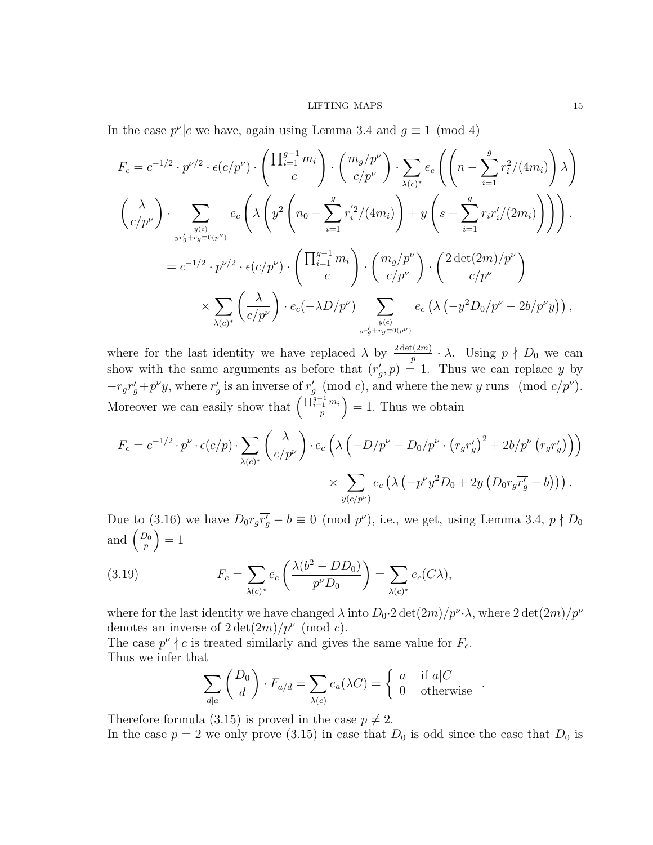In the case  $p^{\nu}|c$  we have, again using Lemma 3.4 and  $q \equiv 1 \pmod{4}$ 

$$
F_c = c^{-1/2} \cdot p^{\nu/2} \cdot \epsilon(c/p^{\nu}) \cdot \left( \frac{\prod_{i=1}^{g-1} m_i}{c} \right) \cdot \left( \frac{m_g/p^{\nu}}{c/p^{\nu}} \right) \cdot \sum_{\lambda(c)^*} e_c \left( \left( n - \sum_{i=1}^{g} r_i^2 / (4m_i) \right) \lambda \right)
$$
  

$$
\left( \frac{\lambda}{c/p^{\nu}} \right) \cdot \sum_{\substack{y(c) \\ yr'_g + r_g \equiv 0(p^{\nu})}} e_c \left( \lambda \left( y^2 \left( n_0 - \sum_{i=1}^{g} r_i'^2 / (4m_i) \right) + y \left( s - \sum_{i=1}^{g} r_i r_i' / (2m_i) \right) \right) \right).
$$
  

$$
= c^{-1/2} \cdot p^{\nu/2} \cdot \epsilon(c/p^{\nu}) \cdot \left( \frac{\prod_{i=1}^{g-1} m_i}{c} \right) \cdot \left( \frac{m_g/p^{\nu}}{c/p^{\nu}} \right) \cdot \left( \frac{2 \det(2m)/p^{\nu}}{c/p^{\nu}} \right)
$$
  

$$
\times \sum_{\lambda(c)^*} \left( \frac{\lambda}{c/p^{\nu}} \right) \cdot e_c(-\lambda D/p^{\nu}) \sum_{\substack{y(c) \\ yr'_g + r_g \equiv 0(p^{\nu})}} e_c \left( \lambda \left( -y^2 D_0/p^{\nu} - 2b/p^{\nu} y \right) \right),
$$

where for the last identity we have replaced  $\lambda$  by  $\frac{2 \det(2m)}{p} \cdot \lambda$ . Using  $p \nmid D_0$  we can show with the same arguments as before that  $(r'_g, p) = 1$ . Thus we can replace y by  $-r_g\overline{r'_g}+p^\nu y$ , where  $\overline{r'_g}$  is an inverse of  $r'_g \pmod{c}$ , and where the new y runs  $p^{\nu}$ . Moreover we can easily show that  $\left(\frac{\prod_{i=1}^{g-1} m_i}{n}\right)$  $\binom{n-1}{p}$  = 1. Thus we obtain

$$
F_c = c^{-1/2} \cdot p^{\nu} \cdot \epsilon(c/p) \cdot \sum_{\lambda(c)^*} \left( \frac{\lambda}{c/p^{\nu}} \right) \cdot e_c \left( \lambda \left( -D/p^{\nu} - D_0/p^{\nu} \cdot \left( r_g \overline{r'_g} \right)^2 + 2b/p^{\nu} \left( r_g \overline{r'_g} \right) \right) \right)
$$

$$
\times \sum_{y(c/p^{\nu})} e_c \left( \lambda \left( -p^{\nu} y^2 D_0 + 2y \left( D_0 r_g \overline{r'_g} - b \right) \right) \right).
$$

Due to (3.16) we have  $D_0 r_g \overline{r'_g} - b \equiv 0 \pmod{p^\nu}$ , i.e., we get, using Lemma 3.4,  $p \nmid D_0$ and  $\left(\frac{D_0}{n}\right)$  $\left(\frac{p_0}{p}\right) = 1$ 

(3.19) 
$$
F_c = \sum_{\lambda(c)^*} e_c \left( \frac{\lambda(b^2 - DD_0)}{p^{\nu} D_0} \right) = \sum_{\lambda(c)^*} e_c(C\lambda),
$$

where for the last identity we have changed  $\lambda$  into  $D_0 \cdot 2 \det(2m)/p^{\nu} \cdot \lambda$ , where  $2 \det(2m)/p^{\nu}$ denotes an inverse of  $2 \det(2m)/p^{\nu} \pmod{c}$ .

The case  $p^{\nu} \nmid c$  is treated similarly and gives the same value for  $F_c$ . Thus we infer that

$$
\sum_{d|a} \left( \frac{D_0}{d} \right) \cdot F_{a/d} = \sum_{\lambda(c)} e_a(\lambda C) = \begin{cases} a & \text{if } a|C \\ 0 & \text{otherwise} \end{cases}.
$$

Therefore formula (3.15) is proved in the case  $p \neq 2$ .

In the case  $p = 2$  we only prove (3.15) in case that  $D_0$  is odd since the case that  $D_0$  is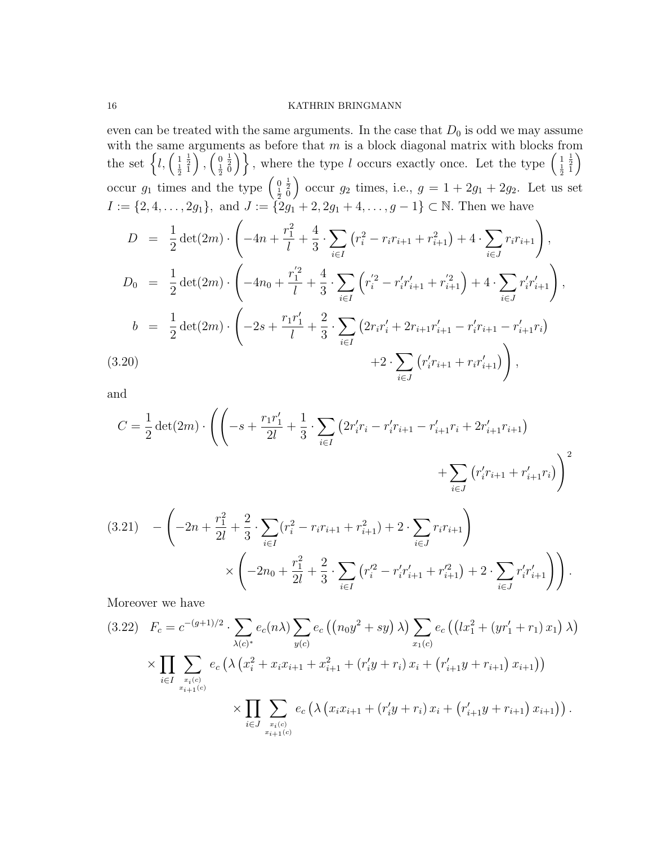even can be treated with the same arguments. In the case that  $D_0$  is odd we may assume with the same arguments as before that  $m$  is a block diagonal matrix with blocks from the set  $\left\{l, \left(\frac{1}{2}\right)\right\}$  $\frac{1}{2}$  $\Bigg)$  ,  $\Big(\frac{0}{\frac{1}{2}}$  $\left\{\frac{1}{2}\right\}$ , where the type l occurs exactly once. Let the type  $\left(\frac{1}{2}\right)$  $\frac{1}{2}$  $\setminus$ occur  $g_1$  times and the type  $\begin{pmatrix} 0 \\ \frac{1}{2} \end{pmatrix}$  $\frac{1}{2}$ <sup>0</sup> occur  $g_2$  times, i.e.,  $g = 1 + 2g_1 + 2g_2$ . Let us set  $I := \{2, 4, \ldots, 2g_1\}, \text{ and } J := \{2g_1 + 2, 2g_1 + 4, \ldots, g - 1\} \subset \mathbb{N}. \text{ Then we have }$ 

$$
D = \frac{1}{2} \det(2m) \cdot \left( -4n + \frac{r_1^2}{l} + \frac{4}{3} \cdot \sum_{i \in I} (r_i^2 - r_i r_{i+1} + r_{i+1}^2) + 4 \cdot \sum_{i \in J} r_i r_{i+1} \right),
$$
  
\n
$$
D_0 = \frac{1}{2} \det(2m) \cdot \left( -4n_0 + \frac{r_1^{'2}}{l} + \frac{4}{3} \cdot \sum_{i \in I} \left( r_i^{'2} - r_i' r_{i+1}' + r_{i+1}^{'2} \right) + 4 \cdot \sum_{i \in J} r_i' r_{i+1}' \right),
$$
  
\n
$$
b = \frac{1}{2} \det(2m) \cdot \left( -2s + \frac{r_1 r_1'}{l} + \frac{2}{3} \cdot \sum_{i \in I} \left( 2r_i r_i' + 2r_{i+1} r_{i+1}' - r_i' r_{i+1} - r_{i+1}' r_i \right) + 2 \cdot \sum_{i \in J} \left( r_i' r_{i+1} + r_i r_{i+1}' \right) \right),
$$
  
\n(3.20)

and

$$
C = \frac{1}{2} \det(2m) \cdot \left( \left( -s + \frac{r_1 r_1'}{2l} + \frac{1}{3} \cdot \sum_{i \in I} \left( 2r_i' r_i - r_i' r_{i+1} - r_{i+1}' r_i + 2r_{i+1}' r_{i+1} \right) \right) + \sum_{i \in J} \left( r_i' r_{i+1} + r_{i+1}' r_i \right) \right)^2
$$
  
(3.21) 
$$
- \left( -2n + \frac{r_1^2}{2l} + \frac{2}{3} \cdot \sum_{i \in I} (r_i^2 - r_i r_{i+1} + r_{i+1}^2) + 2 \cdot \sum_{i \in J} r_i r_{i+1} \right)
$$

$$
\times \left( -2n_0 + \frac{r_1^2}{2l} + \frac{2}{3} \cdot \sum_{i \in I} \left( r_i'^2 - r_i' r_{i+1}' + r_{i+1}'^2 \right) + 2 \cdot \sum_{i \in J} r_i' r_{i+1}' \right) \right).
$$

Moreover we have

$$
(3.22) \quad F_c = c^{-(g+1)/2} \cdot \sum_{\lambda(c)^*} e_c(n\lambda) \sum_{y(c)} e_c \left( (n_0 y^2 + sy) \lambda \right) \sum_{x_1(c)} e_c \left( (lx_1^2 + (yr_1' + r_1) x_1) \lambda \right)
$$

$$
\times \prod_{i \in I} \sum_{\substack{x_i(c) \\ x_{i+1}(c)}} e_c \left( \lambda \left( x_i^2 + x_i x_{i+1} + x_{i+1}^2 + (r_i' y + r_i) x_i + (r_{i+1}' y + r_{i+1}) x_{i+1} \right) \right)
$$

$$
\times \prod_{i \in J} \sum_{\substack{x_i(c) \\ x_{i+1}(c)}} e_c \left( \lambda \left( x_i x_{i+1} + (r_i' y + r_i) x_i + (r_{i+1}' y + r_{i+1}) x_{i+1} \right) \right).
$$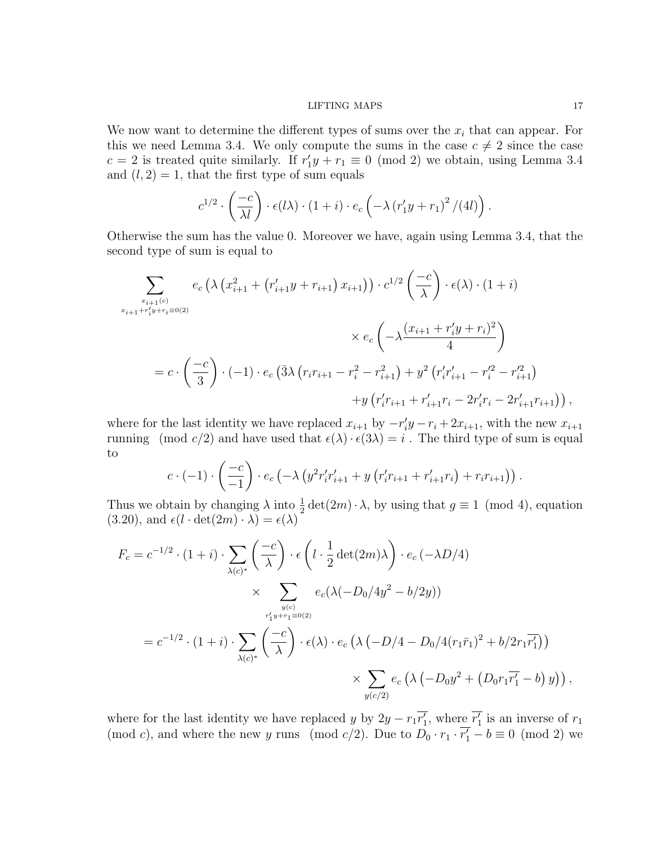We now want to determine the different types of sums over the  $x_i$  that can appear. For this we need Lemma 3.4. We only compute the sums in the case  $c \neq 2$  since the case  $c = 2$  is treated quite similarly. If  $r'_1y + r_1 \equiv 0 \pmod{2}$  we obtain, using Lemma 3.4 and  $(l, 2) = 1$ , that the first type of sum equals

$$
c^{1/2} \cdot \left(\frac{-c}{\lambda l}\right) \cdot \epsilon(l\lambda) \cdot \left(1+i\right) \cdot e_c \left(-\lambda \left(r'_1y+r_1\right)^2/(4l)\right).
$$

Otherwise the sum has the value 0. Moreover we have, again using Lemma 3.4, that the second type of sum is equal to

$$
\sum_{\substack{x_{i+1}(c) \\ x_{i+1} + r'_i y + r_i \equiv 0(2)}} e_c \left( \lambda \left( x_{i+1}^2 + \left( r'_{i+1} y + r_{i+1} \right) x_{i+1} \right) \right) \cdot c^{1/2} \left( \frac{-c}{\lambda} \right) \cdot \epsilon(\lambda) \cdot (1+i)
$$
\n
$$
\times e_c \left( -\lambda \frac{(x_{i+1} + r'_i y + r_i)^2}{4} \right)
$$
\n
$$
= c \cdot \left( \frac{-c}{3} \right) \cdot (-1) \cdot e_c \left( \overline{3} \lambda \left( r_i r_{i+1} - r_i^2 - r_{i+1}^2 \right) + y^2 \left( r'_i r'_{i+1} - r'^2_i - r'^2_{i+1} \right) + y \left( r'_i r_{i+1} + r'_{i+1} r_i - 2r'_i r_i - 2r'_{i+1} r_{i+1} \right) \right),
$$

where for the last identity we have replaced  $x_{i+1}$  by  $-r_i'y - r_i + 2x_{i+1}$ , with the new  $x_{i+1}$ running (mod c/2) and have used that  $\epsilon(\lambda) \cdot \epsilon(3\lambda) = i$ . The third type of sum is equal to

$$
c \cdot (-1) \cdot \left(\frac{-c}{-1}\right) \cdot e_c \left(-\lambda \left(y^2 r'_i r'_{i+1} + y \left(r'_i r_{i+1} + r'_{i+1} r_i\right) + r_i r_{i+1}\right)\right).
$$

Thus we obtain by changing  $\lambda$  into  $\frac{1}{2} \det(2m) \cdot \lambda$ , by using that  $g \equiv 1 \pmod{4}$ , equation  $(3.20)$ , and  $\epsilon(l \cdot \det(2m) \cdot \lambda) = \epsilon(\lambda)$ 

$$
F_c = c^{-1/2} \cdot (1+i) \cdot \sum_{\lambda(c)^*} \left(\frac{-c}{\lambda}\right) \cdot \epsilon \left(l \cdot \frac{1}{2} \det(2m)\lambda\right) \cdot e_c \left(-\lambda D/4\right)
$$
  
\$\times \sum\_{y(c) \atop r\_1' y + r\_1 \equiv 0(2)} e\_c(\lambda(-D\_0/4y^2 - b/2y))\$  
=  $c^{-1/2} \cdot (1+i) \cdot \sum_{\lambda(c)^*} \left(\frac{-c}{\lambda}\right) \cdot \epsilon(\lambda) \cdot e_c \left(\lambda\left(-D/4 - D_0/4(r_1\bar{r}_1)^2 + b/2r_1\bar{r}_1'\right)\right)$   
\$\times \sum\_{y(c/2)} e\_c (\lambda(-D\_0y^2 + (D\_0r\_1\bar{r}\_1' - b) y)),

where for the last identity we have replaced y by  $2y - r_1\overline{r'_1}$ , where  $\overline{r'_1}$  is an inverse of  $r_1$ (mod c), and where the new y runs (mod c/2). Due to  $D_0 \cdot r_1 \cdot \overline{r'_1} - b \equiv 0 \pmod{2}$  we